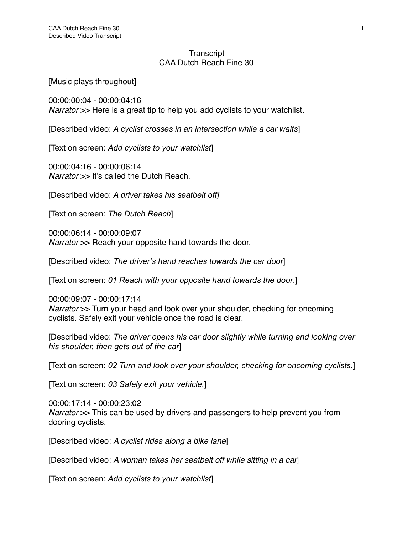## **Transcript** CAA Dutch Reach Fine 30

[Music plays throughout]

00:00:00:04 - 00:00:04:16 *Narrator* >> Here is a great tip to help you add cyclists to your watchlist.

[Described video: *A cyclist crosses in an intersection while a car waits*]

[Text on screen: *Add cyclists to your watchlist*]

00:00:04:16 - 00:00:06:14 *Narrator* >> It's called the Dutch Reach.

[Described video: *A driver takes his seatbelt off]* 

[Text on screen: *The Dutch Reach*]

00:00:06:14 - 00:00:09:07 *Narrator* >> Reach your opposite hand towards the door.

[Described video: *The driver's hand reaches towards the car door*]

[Text on screen: *01 Reach with your opposite hand towards the door*.]

00:00:09:07 - 00:00:17:14 *Narrator* >> Turn your head and look over your shoulder, checking for oncoming cyclists. Safely exit your vehicle once the road is clear.

[Described video: *The driver opens his car door slightly while turning and looking over his shoulder, then gets out of the car*]

[Text on screen: *02 Turn and look over your shoulder, checking for oncoming cyclists.*]

[Text on screen: *03 Safely exit your vehicle.*]

00:00:17:14 - 00:00:23:02 *Narrator* >> This can be used by drivers and passengers to help prevent you from dooring cyclists.

[Described video: *A cyclist rides along a bike lane*]

[Described video: *A woman takes her seatbelt off while sitting in a car*]

[Text on screen: *Add cyclists to your watchlist*]